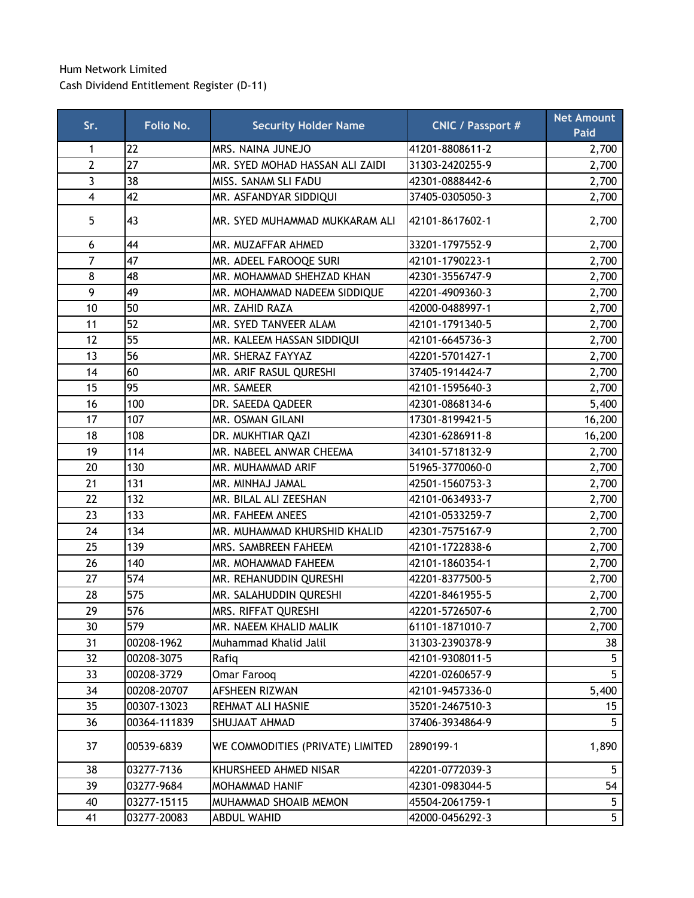## Hum Network Limited Cash Dividend Entitlement Register (D-11)

| Sr.            | Folio No.    | <b>Security Holder Name</b>      | <b>CNIC / Passport #</b> | <b>Net Amount</b><br><b>Paid</b> |
|----------------|--------------|----------------------------------|--------------------------|----------------------------------|
| 1              | 22           | MRS. NAINA JUNEJO                | 41201-8808611-2          | 2,700                            |
| $\overline{2}$ | 27           | MR. SYED MOHAD HASSAN ALI ZAIDI  | 31303-2420255-9          | 2,700                            |
| 3              | 38           | MISS. SANAM SLI FADU             | 42301-0888442-6          | 2,700                            |
| 4              | 42           | MR. ASFANDYAR SIDDIQUI           | 37405-0305050-3          | 2,700                            |
| 5              | 43           | MR. SYED MUHAMMAD MUKKARAM ALI   | 42101-8617602-1          | 2,700                            |
| 6              | 44           | MR. MUZAFFAR AHMED               | 33201-1797552-9          | 2,700                            |
| $\overline{7}$ | 47           | MR. ADEEL FAROOQE SURI           | 42101-1790223-1          | 2,700                            |
| 8              | 48           | MR. MOHAMMAD SHEHZAD KHAN        | 42301-3556747-9          | 2,700                            |
| 9              | 49           | MR. MOHAMMAD NADEEM SIDDIQUE     | 42201-4909360-3          | 2,700                            |
| 10             | 50           | MR. ZAHID RAZA                   | 42000-0488997-1          | 2,700                            |
| 11             | 52           | MR. SYED TANVEER ALAM            | 42101-1791340-5          | 2,700                            |
| 12             | 55           | MR. KALEEM HASSAN SIDDIQUI       | 42101-6645736-3          | 2,700                            |
| 13             | 56           | MR. SHERAZ FAYYAZ                | 42201-5701427-1          | 2,700                            |
| 14             | 60           | MR. ARIF RASUL QURESHI           | 37405-1914424-7          | 2,700                            |
| 15             | 95           | MR. SAMEER                       | 42101-1595640-3          | 2,700                            |
| 16             | 100          | DR. SAEEDA QADEER                | 42301-0868134-6          | 5,400                            |
| 17             | 107          | MR. OSMAN GILANI                 | 17301-8199421-5          | 16,200                           |
| 18             | 108          | DR. MUKHTIAR QAZI                | 42301-6286911-8          | 16,200                           |
| 19             | 114          | MR. NABEEL ANWAR CHEEMA          | 34101-5718132-9          | 2,700                            |
| 20             | 130          | MR. MUHAMMAD ARIF                | 51965-3770060-0          | 2,700                            |
| 21             | 131          | MR. MINHAJ JAMAL                 | 42501-1560753-3          | 2,700                            |
| 22             | 132          | MR. BILAL ALI ZEESHAN            | 42101-0634933-7          | 2,700                            |
| 23             | 133          | MR. FAHEEM ANEES                 | 42101-0533259-7          | 2,700                            |
| 24             | 134          | MR. MUHAMMAD KHURSHID KHALID     | 42301-7575167-9          | 2,700                            |
| 25             | 139          | MRS. SAMBREEN FAHEEM             | 42101-1722838-6          | 2,700                            |
| 26             | 140          | MR. MOHAMMAD FAHEEM              | 42101-1860354-1          | 2,700                            |
| 27             | 574          | MR. REHANUDDIN QURESHI           | 42201-8377500-5          | 2,700                            |
| 28             | 575          | MR. SALAHUDDIN QURESHI           | 42201-8461955-5          | 2,700                            |
| 29             | 576          | MRS. RIFFAT QURESHI              | 42201-5726507-6          | 2,700                            |
| 30             | 579          | MR. NAEEM KHALID MALIK           | 61101-1871010-7          | 2,700                            |
| 31             | 00208-1962   | Muhammad Khalid Jalil            | 31303-2390378-9          | 38                               |
| 32             | 00208-3075   | Rafiq                            | 42101-9308011-5          | 5                                |
| 33             | 00208-3729   | Omar Farooq                      | 42201-0260657-9          | 5                                |
| 34             | 00208-20707  | <b>AFSHEEN RIZWAN</b>            | 42101-9457336-0          | 5,400                            |
| 35             | 00307-13023  | REHMAT ALI HASNIE                | 35201-2467510-3          | 15                               |
| 36             | 00364-111839 | SHUJAAT AHMAD                    | 37406-3934864-9          | 5                                |
| 37             | 00539-6839   | WE COMMODITIES (PRIVATE) LIMITED | 2890199-1                | 1,890                            |
| 38             | 03277-7136   | KHURSHEED AHMED NISAR            | 42201-0772039-3          | 5                                |
| 39             | 03277-9684   | MOHAMMAD HANIF                   | 42301-0983044-5          | 54                               |
| 40             | 03277-15115  | MUHAMMAD SHOAIB MEMON            | 45504-2061759-1          | 5                                |
| 41             | 03277-20083  | <b>ABDUL WAHID</b>               | 42000-0456292-3          | 5 <sub>5</sub>                   |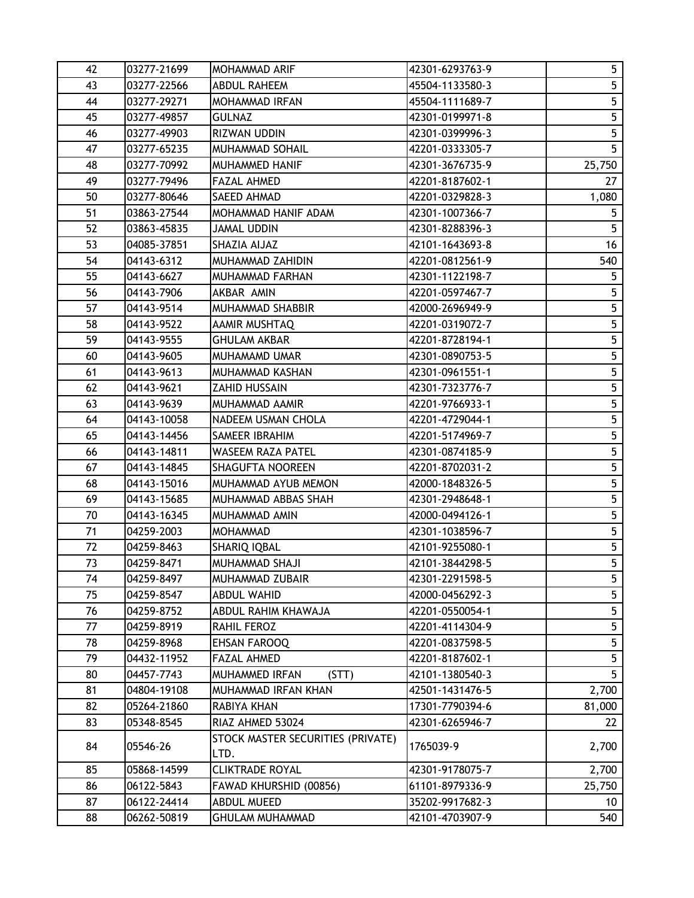| 42 | 03277-21699 | <b>MOHAMMAD ARIF</b>                      | 42301-6293763-9 | 5 <sub>1</sub> |
|----|-------------|-------------------------------------------|-----------------|----------------|
| 43 | 03277-22566 | <b>ABDUL RAHEEM</b>                       | 45504-1133580-3 | 5 <sup>5</sup> |
| 44 | 03277-29271 | <b>MOHAMMAD IRFAN</b>                     | 45504-1111689-7 | 5              |
| 45 | 03277-49857 | <b>GULNAZ</b>                             | 42301-0199971-8 | 5              |
| 46 | 03277-49903 | <b>RIZWAN UDDIN</b>                       | 42301-0399996-3 | 5              |
| 47 | 03277-65235 | <b>MUHAMMAD SOHAIL</b>                    | 42201-0333305-7 | 5 <sup>1</sup> |
| 48 | 03277-70992 | MUHAMMED HANIF                            | 42301-3676735-9 | 25,750         |
| 49 | 03277-79496 | <b>FAZAL AHMED</b>                        | 42201-8187602-1 | 27             |
| 50 | 03277-80646 | <b>SAEED AHMAD</b>                        | 42201-0329828-3 | 1,080          |
| 51 | 03863-27544 | MOHAMMAD HANIF ADAM                       | 42301-1007366-7 | 5              |
| 52 | 03863-45835 | <b>JAMAL UDDIN</b>                        | 42301-8288396-3 | 5 <sup>5</sup> |
| 53 | 04085-37851 | SHAZIA AIJAZ                              | 42101-1643693-8 | 16             |
| 54 | 04143-6312  | MUHAMMAD ZAHIDIN                          | 42201-0812561-9 | 540            |
| 55 | 04143-6627  | MUHAMMAD FARHAN                           | 42301-1122198-7 | 5 <sup>5</sup> |
| 56 | 04143-7906  | AKBAR AMIN                                | 42201-0597467-7 | 5              |
| 57 | 04143-9514  | MUHAMMAD SHABBIR                          | 42000-2696949-9 | 5              |
| 58 | 04143-9522  | AAMIR MUSHTAQ                             | 42201-0319072-7 | 5              |
| 59 | 04143-9555  | <b>GHULAM AKBAR</b>                       | 42201-8728194-1 | 5              |
| 60 | 04143-9605  | MUHAMAMD UMAR                             | 42301-0890753-5 | 5 <sub>5</sub> |
| 61 | 04143-9613  | MUHAMMAD KASHAN                           | 42301-0961551-1 | 5              |
| 62 | 04143-9621  | ZAHID HUSSAIN                             | 42301-7323776-7 | 5 <sub>5</sub> |
| 63 | 04143-9639  | MUHAMMAD AAMIR                            | 42201-9766933-1 | 5              |
| 64 | 04143-10058 | NADEEM USMAN CHOLA                        | 42201-4729044-1 | 5              |
| 65 | 04143-14456 | SAMEER IBRAHIM                            | 42201-5174969-7 | 5              |
| 66 | 04143-14811 | WASEEM RAZA PATEL                         | 42301-0874185-9 | 5              |
| 67 | 04143-14845 | <b>SHAGUFTA NOOREEN</b>                   | 42201-8702031-2 | 5              |
| 68 | 04143-15016 | MUHAMMAD AYUB MEMON                       | 42000-1848326-5 | 5              |
| 69 | 04143-15685 | MUHAMMAD ABBAS SHAH                       | 42301-2948648-1 | 5              |
| 70 | 04143-16345 | MUHAMMAD AMIN                             | 42000-0494126-1 | 5              |
| 71 | 04259-2003  | MOHAMMAD                                  | 42301-1038596-7 | 5 <sup>5</sup> |
| 72 | 04259-8463  | <b>SHARIQ IQBAL</b>                       | 42101-9255080-1 | 5              |
| 73 | 04259-8471  | MUHAMMAD SHAJI                            | 42101-3844298-5 | 5 <sup>1</sup> |
| 74 | 04259-8497  | MUHAMMAD ZUBAIR                           | 42301-2291598-5 | 5              |
| 75 | 04259-8547  | <b>ABDUL WAHID</b>                        | 42000-0456292-3 | 5              |
| 76 | 04259-8752  | ABDUL RAHIM KHAWAJA                       | 42201-0550054-1 | 5              |
| 77 | 04259-8919  | RAHIL FEROZ                               | 42201-4114304-9 | 5              |
| 78 | 04259-8968  | <b>EHSAN FAROOQ</b>                       | 42201-0837598-5 | 5              |
| 79 | 04432-11952 | <b>FAZAL AHMED</b>                        | 42201-8187602-1 | 5              |
| 80 | 04457-7743  | MUHAMMED IRFAN<br>(STT)                   | 42101-1380540-3 | 5.             |
| 81 | 04804-19108 | MUHAMMAD IRFAN KHAN                       | 42501-1431476-5 | 2,700          |
| 82 | 05264-21860 | RABIYA KHAN                               | 17301-7790394-6 | 81,000         |
| 83 | 05348-8545  | RIAZ AHMED 53024                          | 42301-6265946-7 | 22             |
| 84 | 05546-26    | STOCK MASTER SECURITIES (PRIVATE)<br>LTD. | 1765039-9       | 2,700          |
| 85 | 05868-14599 | <b>CLIKTRADE ROYAL</b>                    | 42301-9178075-7 | 2,700          |
| 86 | 06122-5843  | FAWAD KHURSHID (00856)                    | 61101-8979336-9 | 25,750         |
| 87 | 06122-24414 | <b>ABDUL MUEED</b>                        | 35202-9917682-3 | 10             |
| 88 | 06262-50819 | <b>GHULAM MUHAMMAD</b>                    | 42101-4703907-9 | 540            |